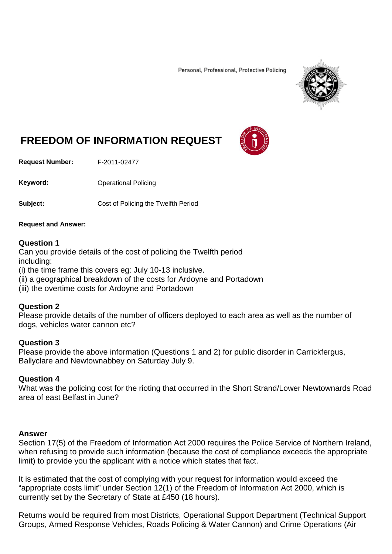Personal, Professional, Protective Policing



# **FREEDOM OF INFORMATION REQUEST**

**Request Number:** F-2011-02477

**Keyword:** Operational Policing

**Subject:** Cost of Policing the Twelfth Period

### **Request and Answer:**

## **Question 1**

Can you provide details of the cost of policing the Twelfth period including:

(i) the time frame this covers eg: July 10-13 inclusive.

- (ii) a geographical breakdown of the costs for Ardoyne and Portadown
- (iii) the overtime costs for Ardoyne and Portadown

## **Question 2**

Please provide details of the number of officers deployed to each area as well as the number of dogs, vehicles water cannon etc?

## **Question 3**

Please provide the above information (Questions 1 and 2) for public disorder in Carrickfergus, Ballyclare and Newtownabbey on Saturday July 9.

## **Question 4**

What was the policing cost for the rioting that occurred in the Short Strand/Lower Newtownards Road area of east Belfast in June?

## **Answer**

Section 17(5) of the Freedom of Information Act 2000 requires the Police Service of Northern Ireland, when refusing to provide such information (because the cost of compliance exceeds the appropriate limit) to provide you the applicant with a notice which states that fact.

It is estimated that the cost of complying with your request for information would exceed the "appropriate costs limit" under Section 12(1) of the Freedom of Information Act 2000, which is currently set by the Secretary of State at £450 (18 hours).

Returns would be required from most Districts, Operational Support Department (Technical Support Groups, Armed Response Vehicles, Roads Policing & Water Cannon) and Crime Operations (Air